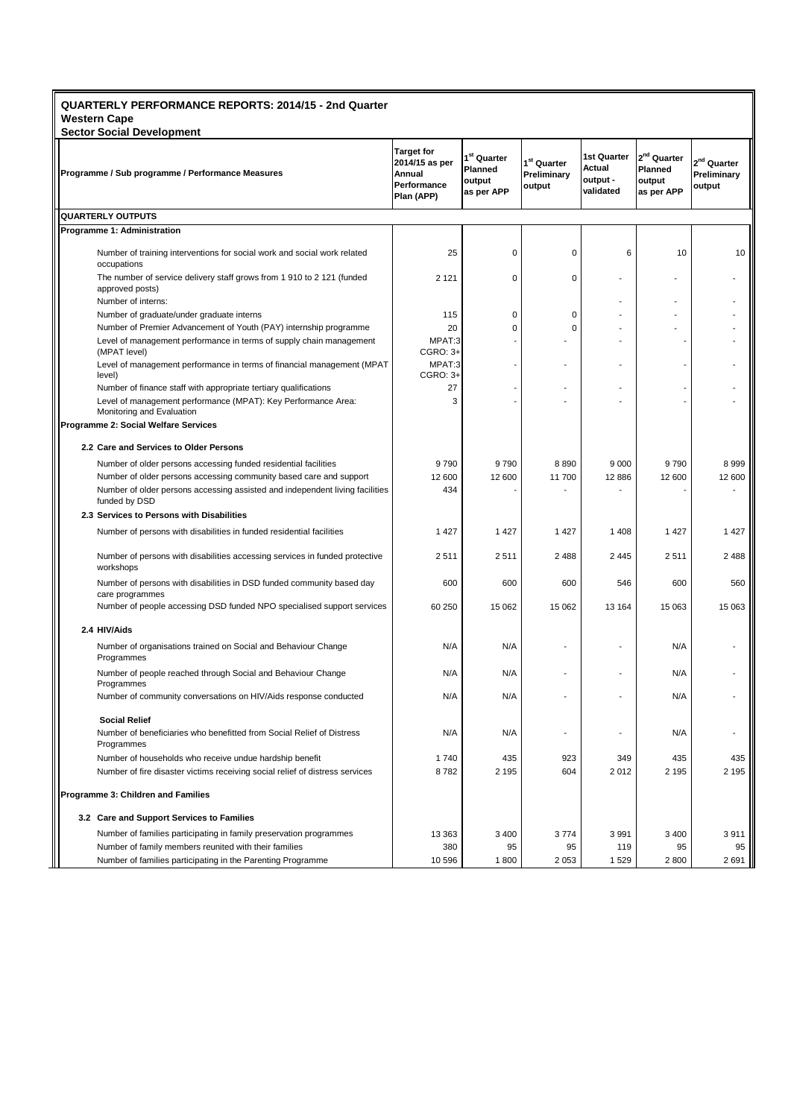## **QUARTERLY PERFORMANCE REPORTS: 2014/15 - 2nd Quarter Western Cape**

**Sector Social Development Target for 2014/15 as per Annual Performance Plan (APP) 1 st Quarter Planned output as per APP 1 st Quarter Preliminary output 1st Quarter Actual output validated 2 nd Quarter Planned output as per APP 2 nd Quarter Preliminary output QUARTERLY OUTPUTS Programme 1: Administration** Number of training interventions for social work and social work related occupations 25 0 0 6 10 10 The number of service delivery staff grows from 1 910 to 2 121 (funded approved posts)  $2121$  0 0 - - -Number of interns: Number of graduate/under graduate interns  $\begin{array}{ccc} | & 115 & 0 & 0 & - & - \end{array}$ Number of Premier Advancement of Youth (PAY) internship programme 20 0 0 - - - Level of management performance in terms of supply chain management (MPAT level) MPAT:3 CGRO: 3+ - - - - - Level of management performance in terms of financial management (MPAT level) MPAT:3 CGRO: 3+ - - - - - Number of finance staff with appropriate tertiary qualifications 27 Level of management performance (MPAT): Key Performance Area: Monitoring and Evaluation 3 - - - - - **Programme 2: Social Welfare Services 2.2 Care and Services to Older Persons** Number of older persons accessing funded residential facilities **9 790** 9 790 9 790 9 790 8 999 9 8 999 8 999 Number of older persons accessing community based care and support Number of older persons accessing assisted and independent living facilities 12 600 12 600 11 700 12 886 12 600 12 600 funded by DSD 434 - - - - - **2.3 Services to Persons with Disabilities** Number of persons with disabilities in funded residential facilities 1 427 1 427 1 427 1 427 1 427 1 428 1 427 Number of persons with disabilities accessing services in funded protective workshops 2 511 2 511 2 488 2 445 2 511 2 488 Number of persons with disabilities in DSD funded community based day care programmes 600 600 600 546 600 560 Number of people accessing DSD funded NPO specialised support services 60 250 15 062 15 062 15 062 13 164 15 063 15 063 **2.4 HIV/Aids** Number of organisations trained on Social and Behaviour Change Programmes N/A | N/A | - | - | N/A | -Number of people reached through Social and Behaviour Change Programmes N/A N/A - I - N/A -Number of community conversations on HIV/Aids response conducted N/A N/A - - N/A -  **Social Relief**  Number of beneficiaries who benefitted from Social Relief of Distress Programmes N/A | N/A | - | - | N/A | -Number of households who receive undue hardship benefit 1 740 435 923 349 435 435 Number of fire disaster victims receiving social relief of distress services 8 782 2 195 604 2 012 2 195 2 195 **Programme 3: Children and Families 3.2 Care and Support Services to Families** Number of families participating in family preservation programmes 13 363 3 400 3 774 3 991 3 400 3 911 Number of family members reunited with their families 380 95 95 119 95 95 Number of families participating in the Parenting Programme 10 596 1 800 1 800 2 691 2 800 2 691 **Programme / Sub programme / Performance Measures**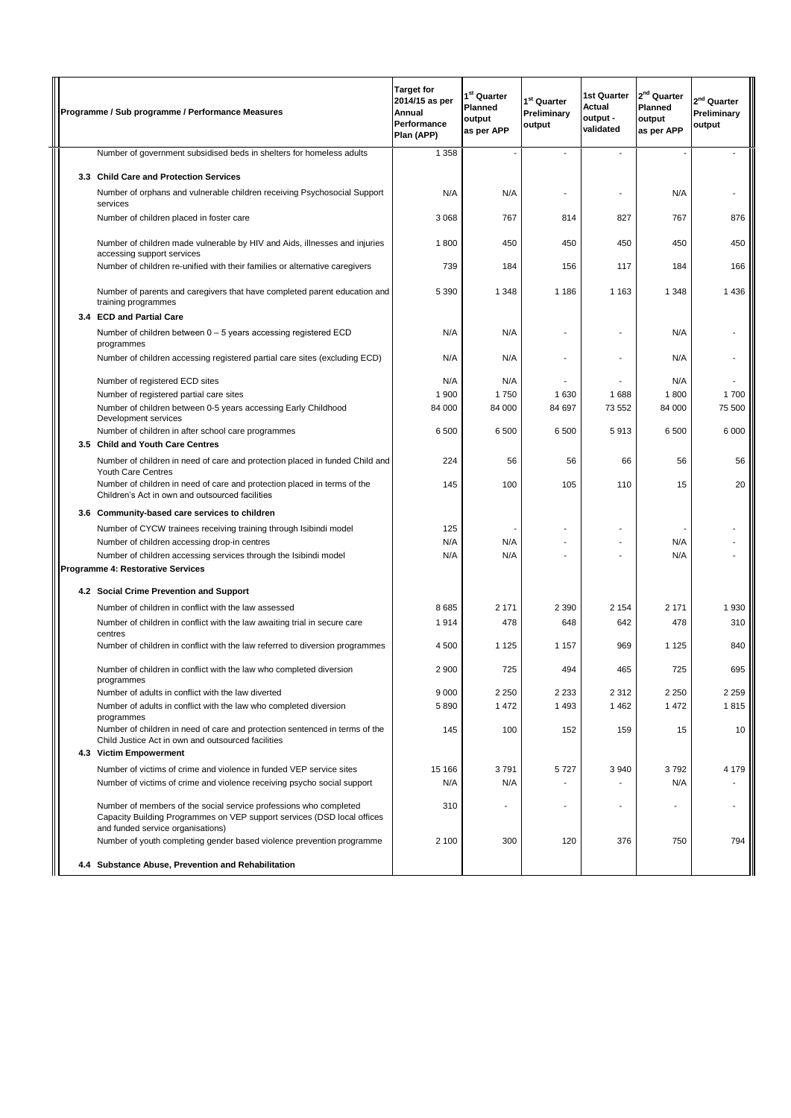|  | Programme / Sub programme / Performance Measures                                                                                                                                  | <b>Target for</b><br>2014/15 as per<br>Annual<br>Performance<br>Plan (APP) | $1^{st}$ Quarter<br><b>Planned</b><br>output<br>as per APP | 1 <sup>st</sup> Quarter<br>Preliminary<br>output | 1st Quarter<br>Actual<br>output -<br>validated | 2 <sup>nd</sup> Quarter<br><b>Planned</b><br>output<br>as per APP | 2 <sup>nd</sup> Quarter<br>Preliminary<br>output |
|--|-----------------------------------------------------------------------------------------------------------------------------------------------------------------------------------|----------------------------------------------------------------------------|------------------------------------------------------------|--------------------------------------------------|------------------------------------------------|-------------------------------------------------------------------|--------------------------------------------------|
|  | Number of government subsidised beds in shelters for homeless adults                                                                                                              | 1 3 5 8                                                                    |                                                            |                                                  |                                                |                                                                   |                                                  |
|  | 3.3 Child Care and Protection Services                                                                                                                                            |                                                                            |                                                            |                                                  |                                                |                                                                   |                                                  |
|  | Number of orphans and vulnerable children receiving Psychosocial Support<br>services                                                                                              | N/A                                                                        | N/A                                                        |                                                  | Ĭ.                                             | N/A                                                               |                                                  |
|  | Number of children placed in foster care                                                                                                                                          | 3 0 6 8                                                                    | 767                                                        | 814                                              | 827                                            | 767                                                               | 876                                              |
|  | Number of children made vulnerable by HIV and Aids, illnesses and injuries<br>accessing support services                                                                          | 1800                                                                       | 450                                                        | 450                                              | 450                                            | 450                                                               | 450                                              |
|  | Number of children re-unified with their families or alternative caregivers                                                                                                       | 739                                                                        | 184                                                        | 156                                              | 117                                            | 184                                                               | 166                                              |
|  | Number of parents and caregivers that have completed parent education and<br>training programmes                                                                                  | 5 3 9 0                                                                    | 1 3 4 8                                                    | 1 1 8 6                                          | 1 1 6 3                                        | 1 3 4 8                                                           | 1436                                             |
|  | 3.4 ECD and Partial Care                                                                                                                                                          |                                                                            |                                                            |                                                  |                                                |                                                                   |                                                  |
|  | Number of children between 0 - 5 years accessing registered ECD<br>programmes                                                                                                     | N/A                                                                        | N/A                                                        |                                                  |                                                | N/A                                                               |                                                  |
|  | Number of children accessing registered partial care sites (excluding ECD)                                                                                                        | N/A                                                                        | N/A                                                        |                                                  |                                                | N/A                                                               |                                                  |
|  | Number of registered ECD sites                                                                                                                                                    | N/A                                                                        | N/A                                                        |                                                  |                                                | N/A                                                               |                                                  |
|  | Number of registered partial care sites                                                                                                                                           | 1 900                                                                      | 1750                                                       | 1630                                             | 1688                                           | 1800                                                              | 1700                                             |
|  | Number of children between 0-5 years accessing Early Childhood<br>Development services                                                                                            | 84 000                                                                     | 84 000                                                     | 84 697                                           | 73 552                                         | 84 000                                                            | 75 500                                           |
|  | Number of children in after school care programmes<br>3.5 Child and Youth Care Centres                                                                                            | 6 500                                                                      | 6 500                                                      | 6 500                                            | 5913                                           | 6 500                                                             | 6 0 0 0                                          |
|  | Number of children in need of care and protection placed in funded Child and<br>Youth Care Centres                                                                                | 224                                                                        | 56                                                         | 56                                               | 66                                             | 56                                                                | 56                                               |
|  | Number of children in need of care and protection placed in terms of the<br>Children's Act in own and outsourced facilities                                                       | 145                                                                        | 100                                                        | 105                                              | 110                                            | 15                                                                | 20                                               |
|  | 3.6 Community-based care services to children                                                                                                                                     |                                                                            |                                                            |                                                  |                                                |                                                                   |                                                  |
|  | Number of CYCW trainees receiving training through Isibindi model                                                                                                                 | 125                                                                        |                                                            |                                                  |                                                |                                                                   |                                                  |
|  | Number of children accessing drop-in centres                                                                                                                                      | N/A                                                                        | N/A                                                        |                                                  |                                                | N/A                                                               |                                                  |
|  | Number of children accessing services through the Isibindi model                                                                                                                  | N/A                                                                        | N/A                                                        |                                                  |                                                | N/A                                                               |                                                  |
|  | <b>Programme 4: Restorative Services</b>                                                                                                                                          |                                                                            |                                                            |                                                  |                                                |                                                                   |                                                  |
|  | 4.2 Social Crime Prevention and Support                                                                                                                                           |                                                                            |                                                            |                                                  |                                                |                                                                   |                                                  |
|  | Number of children in conflict with the law assessed                                                                                                                              | 8685                                                                       | 2 1 7 1                                                    | 2 3 9 0                                          | 2 1 5 4                                        | 2 1 7 1                                                           | 1930                                             |
|  | Number of children in conflict with the law awaiting trial in secure care<br>centres                                                                                              | 1914                                                                       | 478                                                        | 648                                              | 642                                            | 478                                                               | 310                                              |
|  | Number of children in conflict with the law referred to diversion programmes                                                                                                      | 4 500                                                                      | 1 1 2 5                                                    | 1 1 5 7                                          | 969                                            | 1 1 2 5                                                           | 840                                              |
|  | Number of children in conflict with the law who completed diversion<br>programmes                                                                                                 | 2 900                                                                      | 725                                                        | 494                                              | 465                                            | 725                                                               | 695                                              |
|  | Number of adults in conflict with the law diverted                                                                                                                                | 9 0 0 0                                                                    | 2 2 5 0                                                    | 2 2 3 3                                          | 2 3 1 2                                        | 2 2 5 0                                                           | 2 2 5 9                                          |
|  | Number of adults in conflict with the law who completed diversion<br>programmes                                                                                                   | 5890                                                                       | 1472                                                       | 1 4 9 3                                          | 1462                                           | 1 472                                                             | 1815                                             |
|  | Number of children in need of care and protection sentenced in terms of the<br>Child Justice Act in own and outsourced facilities                                                 | 145                                                                        | 100                                                        | 152                                              | 159                                            | 15                                                                | 10                                               |
|  | 4.3 Victim Empowerment                                                                                                                                                            |                                                                            |                                                            |                                                  |                                                |                                                                   |                                                  |
|  | Number of victims of crime and violence in funded VEP service sites                                                                                                               | 15 166                                                                     | 3791                                                       | 5727                                             | 3940                                           | 3792                                                              | 4 179                                            |
|  | Number of victims of crime and violence receiving psycho social support                                                                                                           | N/A                                                                        | N/A                                                        | $\overline{\phantom{a}}$                         |                                                | N/A                                                               |                                                  |
|  | Number of members of the social service professions who completed<br>Capacity Building Programmes on VEP support services (DSD local offices<br>and funded service organisations) | 310                                                                        | $\overline{\phantom{a}}$                                   |                                                  | ٠                                              |                                                                   |                                                  |
|  | Number of youth completing gender based violence prevention programme                                                                                                             | 2 100                                                                      | 300                                                        | 120                                              | 376                                            | 750                                                               | 794                                              |
|  | 4.4 Substance Abuse, Prevention and Rehabilitation                                                                                                                                |                                                                            |                                                            |                                                  |                                                |                                                                   |                                                  |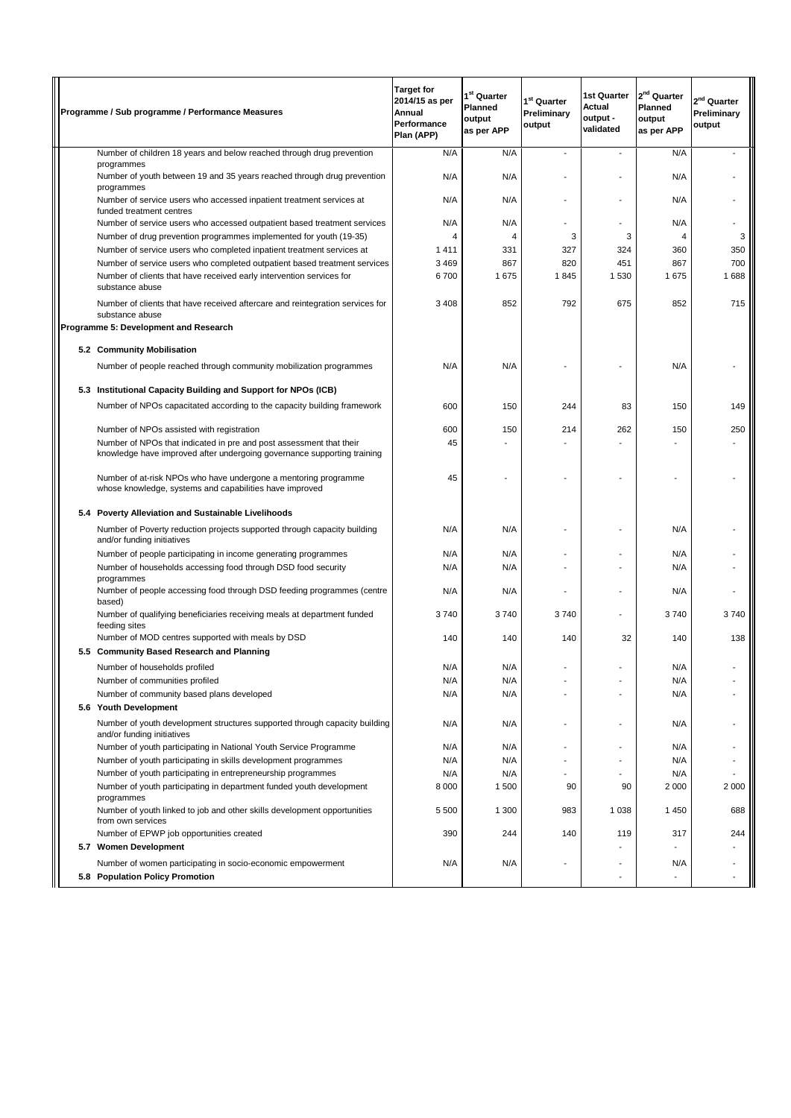|     | Programme / Sub programme / Performance Measures                                                                                               | <b>Target for</b><br>2014/15 as per<br>Annual<br>Performance<br>Plan (APP) | 1 <sup>st</sup> Quarter<br><b>Planned</b><br>output<br>as per APP | 1 <sup>st</sup> Quarter<br>Preliminary<br>output | 1st Quarter<br>Actual<br>output -<br>validated | $2nd$ Quarter<br>Planned<br>output<br>as per APP | 2 <sup>nd</sup> Quarter<br>Preliminary<br>output |
|-----|------------------------------------------------------------------------------------------------------------------------------------------------|----------------------------------------------------------------------------|-------------------------------------------------------------------|--------------------------------------------------|------------------------------------------------|--------------------------------------------------|--------------------------------------------------|
|     | Number of children 18 years and below reached through drug prevention                                                                          | N/A                                                                        | N/A                                                               |                                                  |                                                | N/A                                              |                                                  |
|     | programmes<br>Number of youth between 19 and 35 years reached through drug prevention<br>programmes                                            | N/A                                                                        | N/A                                                               |                                                  |                                                | N/A                                              |                                                  |
|     | Number of service users who accessed inpatient treatment services at<br>funded treatment centres                                               | N/A                                                                        | N/A                                                               |                                                  |                                                | N/A                                              |                                                  |
|     | Number of service users who accessed outpatient based treatment services                                                                       | N/A                                                                        | N/A                                                               |                                                  |                                                | N/A                                              |                                                  |
|     | Number of drug prevention programmes implemented for youth (19-35)                                                                             | 4                                                                          | 4                                                                 | 3                                                | 3                                              | 4                                                | 3                                                |
|     | Number of service users who completed inpatient treatment services at                                                                          | 1411                                                                       | 331                                                               | 327                                              | 324                                            | 360                                              | 350                                              |
|     | Number of service users who completed outpatient based treatment services                                                                      | 3 4 6 9                                                                    | 867                                                               | 820                                              | 451                                            | 867                                              | 700                                              |
|     | Number of clients that have received early intervention services for<br>substance abuse                                                        | 6700                                                                       | 1675                                                              | 1845                                             | 1 5 3 0                                        | 1675                                             | 1688                                             |
|     | Number of clients that have received aftercare and reintegration services for<br>substance abuse                                               | 3 4 0 8                                                                    | 852                                                               | 792                                              | 675                                            | 852                                              | 715                                              |
|     | Programme 5: Development and Research                                                                                                          |                                                                            |                                                                   |                                                  |                                                |                                                  |                                                  |
|     | 5.2 Community Mobilisation                                                                                                                     |                                                                            |                                                                   |                                                  |                                                |                                                  |                                                  |
|     | Number of people reached through community mobilization programmes                                                                             | N/A                                                                        | N/A                                                               |                                                  |                                                | N/A                                              |                                                  |
| 5.3 | Institutional Capacity Building and Support for NPOs (ICB)                                                                                     |                                                                            |                                                                   |                                                  |                                                |                                                  |                                                  |
|     | Number of NPOs capacitated according to the capacity building framework                                                                        | 600                                                                        | 150                                                               | 244                                              | 83                                             | 150                                              | 149                                              |
|     |                                                                                                                                                |                                                                            |                                                                   |                                                  |                                                |                                                  |                                                  |
|     | Number of NPOs assisted with registration                                                                                                      | 600                                                                        | 150                                                               | 214                                              | 262                                            | 150                                              | 250                                              |
|     | Number of NPOs that indicated in pre and post assessment that their<br>knowledge have improved after undergoing governance supporting training | 45                                                                         |                                                                   |                                                  |                                                |                                                  |                                                  |
|     | Number of at-risk NPOs who have undergone a mentoring programme<br>whose knowledge, systems and capabilities have improved                     | 45                                                                         |                                                                   |                                                  |                                                |                                                  |                                                  |
|     | 5.4 Poverty Alleviation and Sustainable Livelihoods                                                                                            |                                                                            |                                                                   |                                                  |                                                |                                                  |                                                  |
|     | Number of Poverty reduction projects supported through capacity building<br>and/or funding initiatives                                         | N/A                                                                        | N/A                                                               |                                                  |                                                | N/A                                              |                                                  |
|     | Number of people participating in income generating programmes                                                                                 | N/A                                                                        | N/A                                                               |                                                  |                                                | N/A                                              |                                                  |
|     | Number of households accessing food through DSD food security<br>programmes                                                                    | N/A                                                                        | N/A                                                               |                                                  |                                                | N/A                                              |                                                  |
|     | Number of people accessing food through DSD feeding programmes (centre<br>based)                                                               | N/A                                                                        | N/A                                                               |                                                  |                                                | N/A                                              |                                                  |
|     | Number of qualifying beneficiaries receiving meals at department funded<br>feeding sites                                                       | 3740                                                                       | 3740                                                              | 3740                                             |                                                | 3740                                             | 3740                                             |
|     | Number of MOD centres supported with meals by DSD<br>5.5 Community Based Research and Planning                                                 | 140                                                                        | 140                                                               | 140                                              | 32                                             | 140                                              | 138                                              |
|     | Number of households profiled                                                                                                                  | N/A                                                                        | N/A                                                               |                                                  |                                                | N/A                                              |                                                  |
|     | Number of communities profiled                                                                                                                 | N/A                                                                        | N/A                                                               |                                                  |                                                | N/A                                              |                                                  |
|     | Number of community based plans developed<br>5.6 Youth Development                                                                             | N/A                                                                        | N/A                                                               |                                                  |                                                | N/A                                              |                                                  |
|     | Number of youth development structures supported through capacity building                                                                     | N/A                                                                        | N/A                                                               | ٠                                                | $\blacksquare$                                 | N/A                                              |                                                  |
|     | and/or funding initiatives<br>Number of youth participating in National Youth Service Programme                                                | N/A                                                                        | N/A                                                               |                                                  |                                                | N/A                                              |                                                  |
|     | Number of youth participating in skills development programmes                                                                                 | N/A                                                                        | N/A                                                               |                                                  |                                                | N/A                                              |                                                  |
|     | Number of youth participating in entrepreneurship programmes                                                                                   | N/A                                                                        | N/A                                                               |                                                  |                                                | N/A                                              |                                                  |
|     | Number of youth participating in department funded youth development<br>programmes                                                             | 8 0 0 0                                                                    | 1 500                                                             | 90                                               | 90                                             | 2 0 0 0                                          | 2 0 0 0                                          |
|     | Number of youth linked to job and other skills development opportunities<br>from own services                                                  | 5 5 0 0                                                                    | 1 300                                                             | 983                                              | 1 0 3 8                                        | 1 4 5 0                                          | 688                                              |
|     | Number of EPWP job opportunities created<br>5.7 Women Development                                                                              | 390                                                                        | 244                                                               | 140                                              | 119                                            | 317                                              | 244                                              |
|     |                                                                                                                                                | N/A                                                                        | N/A                                                               |                                                  |                                                | N/A                                              |                                                  |
|     | Number of women participating in socio-economic empowerment<br>5.8 Population Policy Promotion                                                 |                                                                            |                                                                   |                                                  |                                                |                                                  |                                                  |